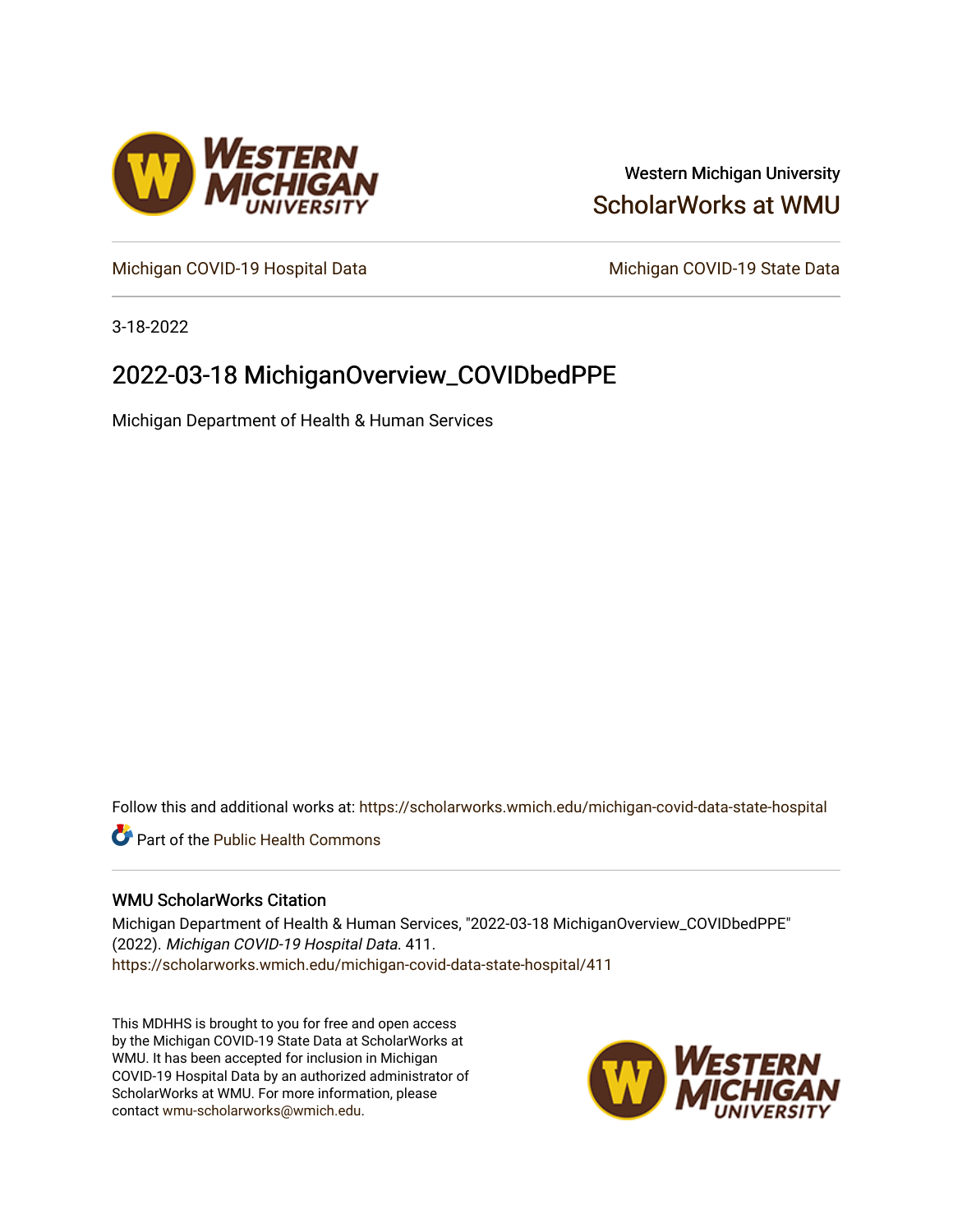

# Western Michigan University [ScholarWorks at WMU](https://scholarworks.wmich.edu/)

[Michigan COVID-19 Hospital Data](https://scholarworks.wmich.edu/michigan-covid-data-state-hospital) Michigan COVID-19 State Data

3-18-2022

# 2022-03-18 MichiganOverview\_COVIDbedPPE

Michigan Department of Health & Human Services

Follow this and additional works at: [https://scholarworks.wmich.edu/michigan-covid-data-state-hospital](https://scholarworks.wmich.edu/michigan-covid-data-state-hospital?utm_source=scholarworks.wmich.edu%2Fmichigan-covid-data-state-hospital%2F411&utm_medium=PDF&utm_campaign=PDFCoverPages) 

**Part of the Public Health Commons** 

#### WMU ScholarWorks Citation

Michigan Department of Health & Human Services, "2022-03-18 MichiganOverview\_COVIDbedPPE" (2022). Michigan COVID-19 Hospital Data. 411. [https://scholarworks.wmich.edu/michigan-covid-data-state-hospital/411](https://scholarworks.wmich.edu/michigan-covid-data-state-hospital/411?utm_source=scholarworks.wmich.edu%2Fmichigan-covid-data-state-hospital%2F411&utm_medium=PDF&utm_campaign=PDFCoverPages) 

This MDHHS is brought to you for free and open access by the Michigan COVID-19 State Data at ScholarWorks at WMU. It has been accepted for inclusion in Michigan COVID-19 Hospital Data by an authorized administrator of ScholarWorks at WMU. For more information, please contact [wmu-scholarworks@wmich.edu](mailto:wmu-scholarworks@wmich.edu).

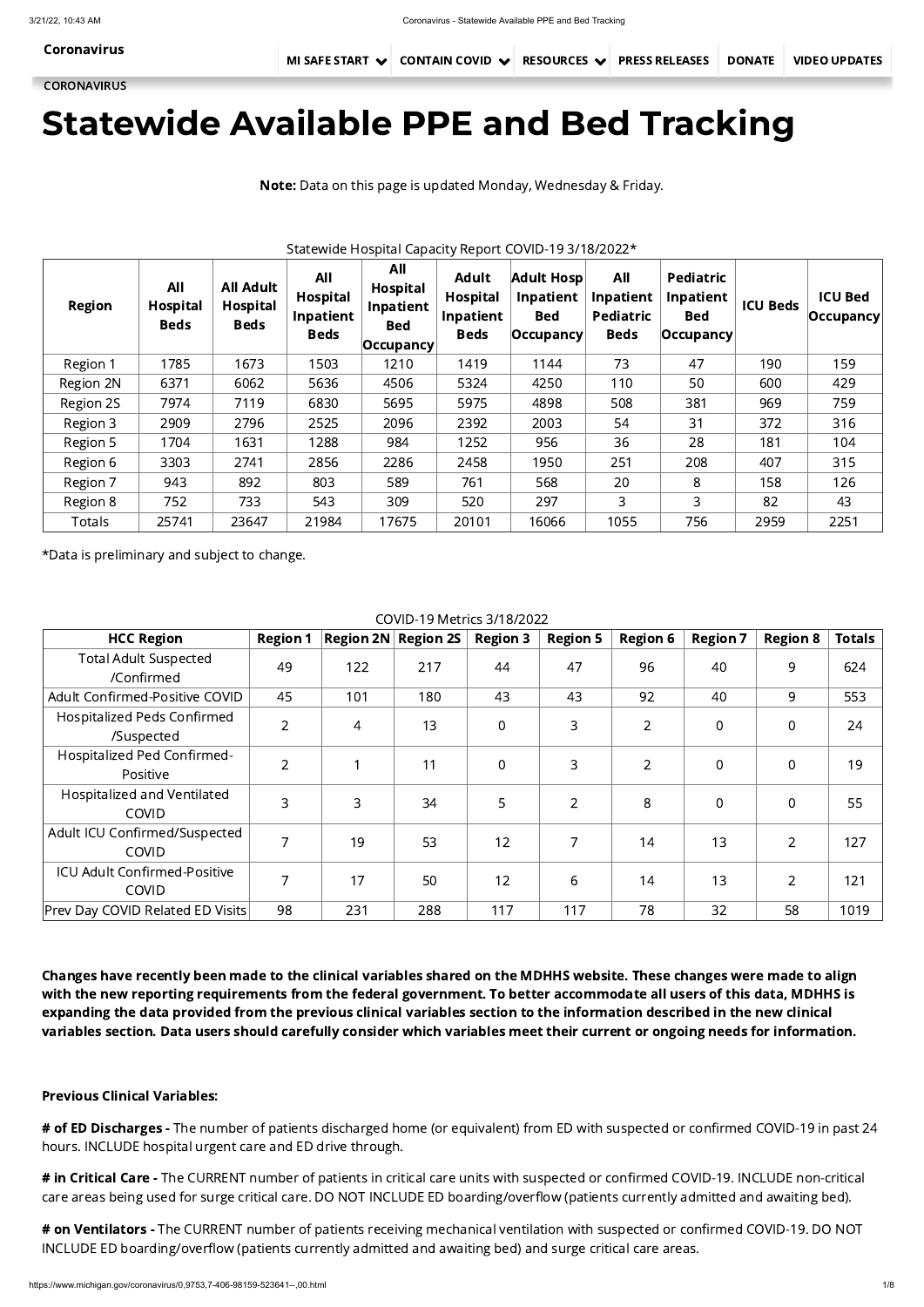# Statewide Available PPE and Bed Tracking

Note: Data on this page is updated Monday, Wednesday & Friday.

Statewide Hospital Capacity Report COVID-19 3/18/2022\*

| <b>Region</b> | All<br><b>Hospital</b><br><b>Beds</b> | <b>All Adult</b><br><b>Hospital</b><br><b>Beds</b> | All<br>Hospital<br>Inpatient<br><b>Beds</b> | All<br>Hospital<br>Inpatient<br><b>Bed</b><br>$ $ Occupancy $ $ | <b>Adult</b><br><b>Hospital</b><br>Inpatient<br><b>Beds</b> | <b>Adult Hosp</b><br><b>Inpatient</b><br><b>Bed</b><br>$ $ Occupancy $ $ | All<br>Inpatient<br>Pediatric<br><b>Beds</b> | Pediatric<br>Inpatient<br><b>Bed</b><br>$ $ Occupancy $ $ | <b>ICU Beds</b> | <b>ICU Bed</b><br>$ $ Occupancy $ $ |
|---------------|---------------------------------------|----------------------------------------------------|---------------------------------------------|-----------------------------------------------------------------|-------------------------------------------------------------|--------------------------------------------------------------------------|----------------------------------------------|-----------------------------------------------------------|-----------------|-------------------------------------|
| Region 1      | 1785                                  | 1673                                               | 1503                                        | 1210                                                            | 1419                                                        | 1144                                                                     | 73                                           | 47                                                        | 190             | 159                                 |
| Region 2N     | 6371                                  | 6062                                               | 5636                                        | 4506                                                            | 5324                                                        | 4250                                                                     | 110                                          | 50                                                        | 600             | 429                                 |
| Region 2S     | 7974                                  | 7119                                               | 6830                                        | 5695                                                            | 5975                                                        | 4898                                                                     | 508                                          | 381                                                       | 969             | 759                                 |
| Region 3      | 2909                                  | 2796                                               | 2525                                        | 2096                                                            | 2392                                                        | 2003                                                                     | 54                                           | 31                                                        | 372             | 316                                 |
| Region 5      | 1704                                  | 1631                                               | 1288                                        | 984                                                             | 1252                                                        | 956                                                                      | 36                                           | 28                                                        | 181             | 104                                 |
| Region 6      | 3303                                  | 2741                                               | 2856                                        | 2286                                                            | 2458                                                        | 1950                                                                     | 251                                          | 208                                                       | 407             | 315                                 |
| Region 7      | 943                                   | 892                                                | 803                                         | 589                                                             | 761                                                         | 568                                                                      | 20                                           | 8                                                         | 158             | 126                                 |
| Region 8      | 752                                   | 733                                                | 543                                         | 309                                                             | 520                                                         | 297                                                                      | 3                                            | 3                                                         | 82              | 43                                  |
| Totals        | 25741                                 | 23647                                              | 21984                                       | 17675                                                           | 20101                                                       | 16066                                                                    | 1055                                         | 756                                                       | 2959            | 2251                                |

\*Data is preliminary and subject to change.

COVID-19 Metrics 3/18/2022

# of ED Discharges - The number of patients discharged home (or equivalent) from ED with suspected or confirmed COVID-19 in past 24 hours. INCLUDE hospital urgent care and ED drive through.

# in Critical Care - The CURRENT number of patients in critical care units with suspected or confirmed COVID-19. INCLUDE non-critical care areas being used for surge critical care. DO NOT INCLUDE ED boarding/overflow (patients currently admitted and awaiting bed).

| <b>HCC Region</b>                                   | <b>Region 1</b> |                | <b>Region 2N</b> Region 2S | <b>Region 3</b> | <b>Region 5</b> | <b>Region 6</b> | <b>Region 7</b> | <b>Region 8</b> | <b>Totals</b> |
|-----------------------------------------------------|-----------------|----------------|----------------------------|-----------------|-----------------|-----------------|-----------------|-----------------|---------------|
| <b>Total Adult Suspected</b><br>/Confirmed          | 49              | 122            | 217                        | 44              | 47              | 96              | 40              | 9               | 624           |
| Adult Confirmed-Positive COVID                      | 45              | 101            | 180                        | 43              | 43              | 92              | 40              | 9               | 553           |
| Hospitalized Peds Confirmed<br>/Suspected           | $\overline{2}$  | $\overline{4}$ | 13                         | 0               | 3               | $\overline{2}$  | $\overline{0}$  | $\overline{0}$  | 24            |
| Hospitalized Ped Confirmed-<br>Positive             | $\overline{2}$  |                | 11                         | 0               | 3               | $\overline{2}$  | $\overline{0}$  | $\overline{0}$  | 19            |
| Hospitalized and Ventilated<br><b>COVID</b>         | 3               | 3              | 34                         | 5               | $\overline{2}$  | 8               | $\mathbf 0$     | $\overline{0}$  | 55            |
| Adult ICU Confirmed/Suspected<br><b>COVID</b>       | 7               | 19             | 53                         | 12              | 7               | 14              | 13              | $\overline{2}$  | 127           |
| <b>ICU Adult Confirmed-Positive</b><br><b>COVID</b> |                 | 17             | 50                         | 12              | 6               | 14              | 13              | $\overline{2}$  | 121           |
| <b>Prev Day COVID Related ED Visits</b>             | 98              | 231            | 288                        | 117             | 117             | 78              | 32              | 58              | 1019          |

# on Ventilators - The CURRENT number of patients receiving mechanical ventilation with suspected or confirmed COVID-19. DO NOT INCLUDE ED boarding/overflow (patients currently admitted and awaiting bed) and surge critical care areas.

Changes have recently been made to the clinical variables shared on the MDHHS website. These changes were made to align

with the new reporting requirements from the federal government. To better accommodate all users of this data, MDHHS is expanding the data provided from the previous clinical variables section to the information described in the new clinical variables section. Data users should carefully consider which variables meet their current or ongoing needs for information.

## Previous Clinical Variables:

[Coronavirus](https://www.michigan.gov/coronavirus/)

**[CORONAVIRUS](https://www.michigan.gov/coronavirus/)**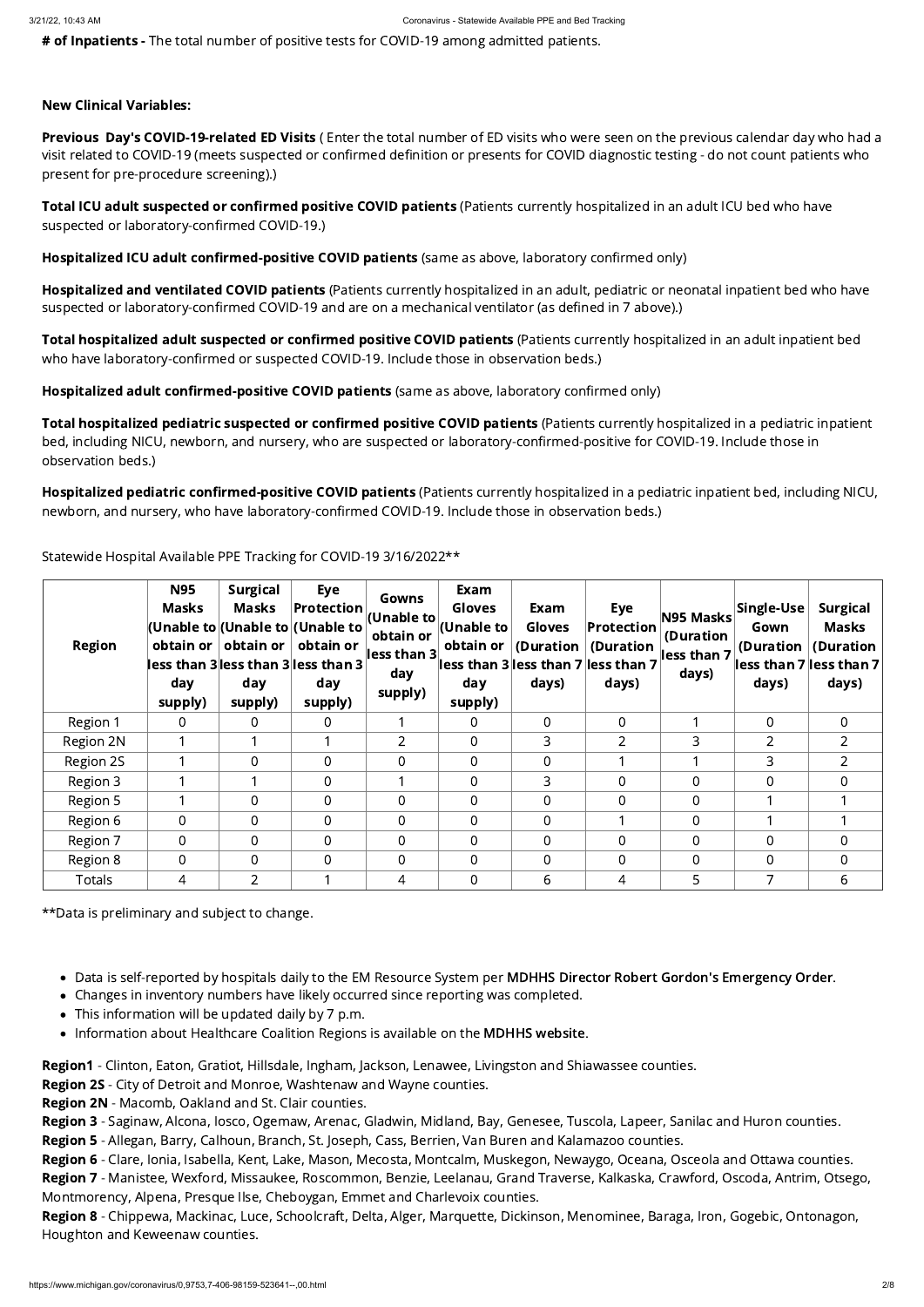# of Inpatients - The total number of positive tests for COVID-19 among admitted patients.

## New Clinical Variables:

Previous Day's COVID-19-related ED Visits (Enter the total number of ED visits who were seen on the previous calendar day who had a visit related to COVID-19 (meets suspected or confirmed definition or presents for COVID diagnostic testing - do not count patients who present for pre-procedure screening).)

Total ICU adult suspected or confirmed positive COVID patients (Patients currently hospitalized in an adult ICU bed who have suspected or laboratory-confirmed COVID-19.)

Hospitalized ICU adult confirmed-positive COVID patients (same as above, laboratory confirmed only)

Hospitalized and ventilated COVID patients (Patients currently hospitalized in an adult, pediatric or neonatal inpatient bed who have suspected or laboratory-confirmed COVID-19 and are on a mechanical ventilator (as defined in 7 above).)

Total hospitalized adult suspected or confirmed positive COVID patients (Patients currently hospitalized in an adult inpatient bed who have laboratory-confirmed or suspected COVID-19. Include those in observation beds.)

Total hospitalized pediatric suspected or confirmed positive COVID patients (Patients currently hospitalized in a pediatric inpatient bed, including NICU, newborn, and nursery, who are suspected or laboratory-confirmed-positive for COVID-19. Include those in observation beds.)

Hospitalized pediatric confirmed-positive COVID patients (Patients currently hospitalized in a pediatric inpatient bed, including NICU, newborn, and nursery, who have laboratory-confirmed COVID-19. Include those in observation beds.)

Hospitalized adult confirmed-positive COVID patients (same as above, laboratory confirmed only)

Statewide Hospital Available PPE Tracking for COVID-19 3/16/2022\*\*

Region 7 - Manistee, Wexford, Missaukee, Roscommon, Benzie, Leelanau, Grand Traverse, Kalkaska, Crawford, Oscoda, Antrim, Otsego, Montmorency, Alpena, Presque Ilse, Cheboygan, Emmet and Charlevoix counties.

Region 8 - Chippewa, Mackinac, Luce, Schoolcraft, Delta, Alger, Marquette, Dickinson, Menominee, Baraga, Iron, Gogebic, Ontonagon, Houghton and Keweenaw counties.

| <b>Region</b> | <b>N95</b><br><b>Masks</b><br>day<br>supply) | <b>Surgical</b><br><b>Masks</b><br>obtain or $ $ obtain or<br>day<br>supply) | <b>Eye</b><br>$ $ Protection $ $<br>(Unable to (Unable to (Unable to )<br>obtain or<br>lless than 3 less than 3 less than $3$<br>day<br>supply) | Gowns<br>$ $ (Unable to $ $<br>obtain or<br>less than $3\vert$<br>day<br>supply) | Exam<br><b>Gloves</b><br>(Unable to<br>obtain or $ $<br>day<br>supply) | Exam<br><b>Gloves</b><br>$\vert$ (Duration $\vert$<br>days) | Eye<br>$ $ Protection $ $<br>(Duration<br>$\vert$ less than 3 $\vert$ less than 7 $\vert$ less than 7<br>days) | N95 Masks<br>(Duration<br>less than 7<br>days) | Single-Use<br>Gown<br>(Duration $ $<br>days) | <b>Surgical</b><br><b>Masks</b><br>(Duration<br>$\left\vert \mathsf{less}\right.$ than 7 $\left\vert \mathsf{less}\right.$ than 7 $\left\vert \right.$<br>days) |
|---------------|----------------------------------------------|------------------------------------------------------------------------------|-------------------------------------------------------------------------------------------------------------------------------------------------|----------------------------------------------------------------------------------|------------------------------------------------------------------------|-------------------------------------------------------------|----------------------------------------------------------------------------------------------------------------|------------------------------------------------|----------------------------------------------|-----------------------------------------------------------------------------------------------------------------------------------------------------------------|
| Region 1      | $\overline{0}$                               | $\Omega$                                                                     | $\overline{0}$                                                                                                                                  |                                                                                  | $\overline{0}$                                                         | $\Omega$                                                    | $\Omega$                                                                                                       |                                                | $\Omega$                                     | $\overline{0}$                                                                                                                                                  |
| Region 2N     |                                              |                                                                              |                                                                                                                                                 | 2 <sup>1</sup>                                                                   | $\overline{0}$                                                         | 3                                                           | $\overline{2}$                                                                                                 | 3                                              | $\overline{2}$                               | $\overline{2}$                                                                                                                                                  |
| Region 2S     |                                              | $\overline{0}$                                                               | $\Omega$                                                                                                                                        | $\Omega$                                                                         | 0                                                                      | $\overline{0}$                                              |                                                                                                                |                                                | 3                                            | 2                                                                                                                                                               |
| Region 3      |                                              |                                                                              | $\Omega$                                                                                                                                        |                                                                                  | $\overline{0}$                                                         | 3                                                           | $\Omega$                                                                                                       | $\overline{0}$                                 | $\Omega$                                     | $\Omega$                                                                                                                                                        |
| Region 5      |                                              | $\overline{0}$                                                               | $\overline{0}$                                                                                                                                  | $\overline{0}$                                                                   | $\overline{0}$                                                         | $\overline{0}$                                              | $\overline{0}$                                                                                                 | 0                                              |                                              |                                                                                                                                                                 |
| Region 6      | $\overline{0}$                               | $\Omega$                                                                     | $\Omega$                                                                                                                                        | $\Omega$                                                                         | 0                                                                      | $\overline{0}$                                              |                                                                                                                | $\overline{0}$                                 |                                              |                                                                                                                                                                 |
| Region 7      | 0                                            | $\Omega$                                                                     | $\Omega$                                                                                                                                        | $\Omega$                                                                         | $\overline{0}$                                                         | $\Omega$                                                    | $\overline{0}$                                                                                                 | 0                                              | $\overline{0}$                               | 0                                                                                                                                                               |
| Region 8      | $\overline{0}$                               | $\overline{0}$                                                               | $\overline{0}$                                                                                                                                  | $\overline{0}$                                                                   | 0                                                                      | $\overline{0}$                                              | $\overline{0}$                                                                                                 | 0                                              | $\overline{0}$                               | $\overline{0}$                                                                                                                                                  |
| <b>Totals</b> | 4                                            | $\overline{2}$                                                               |                                                                                                                                                 | 4                                                                                | $\overline{0}$                                                         | 6                                                           | 4                                                                                                              | 5                                              | 7                                            | 6                                                                                                                                                               |

\*\*Data is preliminary and subject to change.

- Data is self-reported by hospitals daily to the EM Resource System per MDHHS Director Robert Gordon's [Emergency](https://www.michigan.gov/documents/coronavirus/MDHHS_epidemic_reporting_order_and_instructions_684709_7.pdf) Order.
- Changes in inventory numbers have likely occurred since reporting was completed.
- This information will be updated daily by 7 p.m.
- Information about Healthcare Coalition Regions is available on the MDHHS [website.](https://www.michigan.gov/mdhhs/0,5885,7-339-71548_54783_54826_56171-237197--,00.html#hcc)

Region1 - Clinton, Eaton, Gratiot, Hillsdale, Ingham, Jackson, Lenawee, Livingston and Shiawassee counties.

Region 2S - City of Detroit and Monroe, Washtenaw and Wayne counties.

Region 2N - Macomb, Oakland and St. Clair counties.

Region 3 - Saginaw, Alcona, Iosco, Ogemaw, Arenac, Gladwin, Midland, Bay, Genesee, Tuscola, Lapeer, Sanilac and Huron counties.

Region 5 - Allegan, Barry, Calhoun, Branch, St. Joseph, Cass, Berrien, Van Buren and Kalamazoo counties.

Region 6 - Clare, Ionia, Isabella, Kent, Lake, Mason, Mecosta, Montcalm, Muskegon, Newaygo, Oceana, Osceola and Ottawa counties.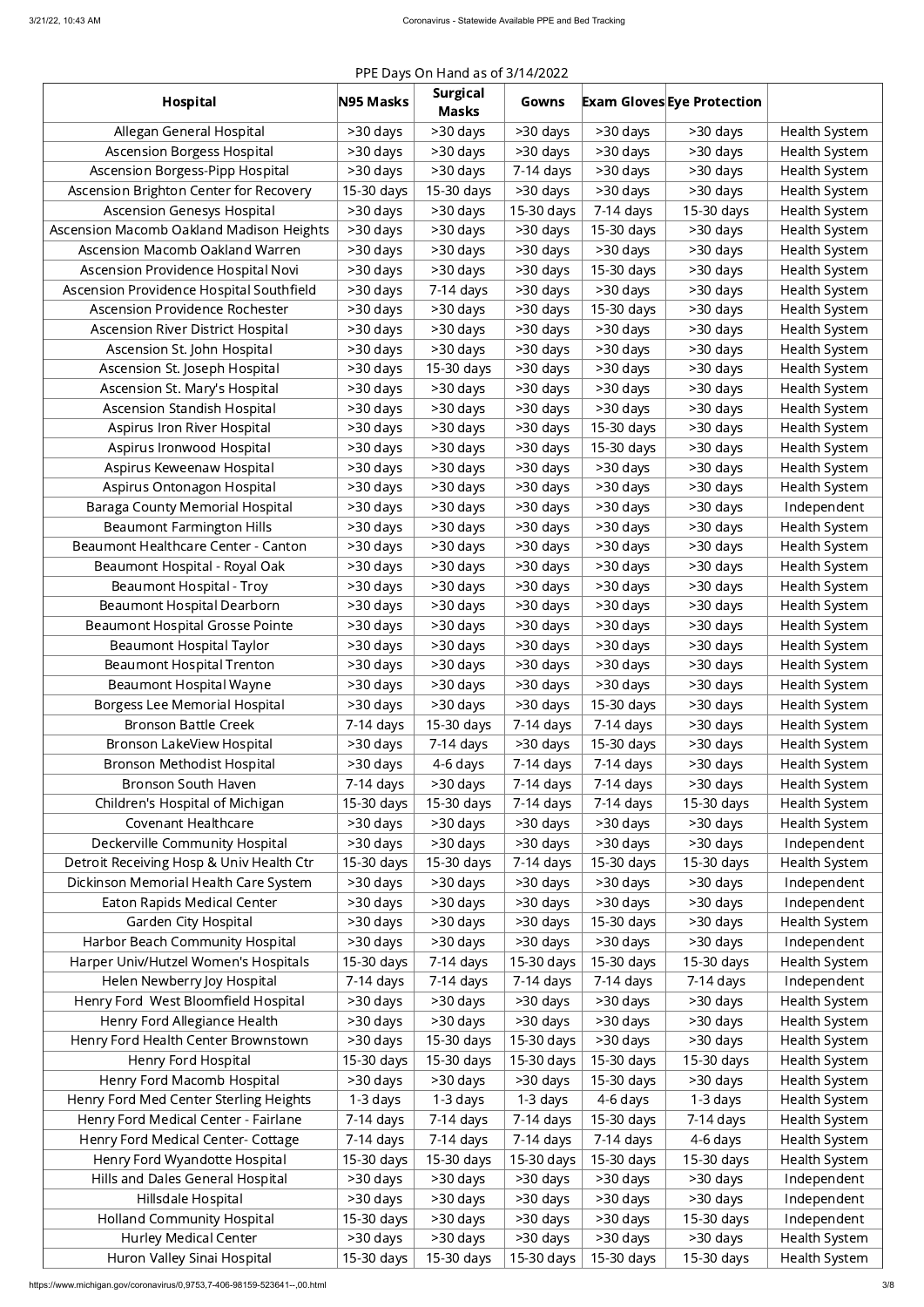# PPE Days On Hand as of 3/14/2022

| <b>Hospital</b>                                                                | N95 Masks   | <b>Surgical</b><br><b>Masks</b> | Gowns                  |             | <b>Exam Gloves Eye Protection</b> |                                |
|--------------------------------------------------------------------------------|-------------|---------------------------------|------------------------|-------------|-----------------------------------|--------------------------------|
| Allegan General Hospital                                                       | >30 days    | >30 days                        | >30 days               | >30 days    | $>30$ days                        | Health System                  |
| <b>Ascension Borgess Hospital</b>                                              | $>30$ days  | >30 days                        | >30 days               | >30 days    | >30 days                          | Health System                  |
| Ascension Borgess-Pipp Hospital                                                | >30 days    | >30 days                        | 7-14 days              | >30 days    | >30 days                          | Health System                  |
| Ascension Brighton Center for Recovery                                         | 15-30 days  | 15-30 days                      | >30 days               | >30 days    | >30 days                          | Health System                  |
| <b>Ascension Genesys Hospital</b>                                              | >30 days    | >30 days                        | 15-30 days             | 7-14 days   | 15-30 days                        | Health System                  |
| Ascension Macomb Oakland Madison Heights                                       | >30 days    | >30 days                        | >30 days               | 15-30 days  | >30 days                          | Health System                  |
| Ascension Macomb Oakland Warren                                                | >30 days    | >30 days                        | >30 days               | >30 days    | >30 days                          | Health System                  |
| Ascension Providence Hospital Novi                                             | >30 days    | >30 days                        | >30 days               | 15-30 days  | >30 days                          | Health System                  |
| Ascension Providence Hospital Southfield                                       | >30 days    | $7-14$ days                     | >30 days               | >30 days    | >30 days                          | Health System                  |
| Ascension Providence Rochester                                                 | >30 days    | >30 days                        | >30 days               | 15-30 days  | >30 days                          | Health System                  |
| <b>Ascension River District Hospital</b>                                       | >30 days    | >30 days                        | >30 days               | >30 days    | >30 days                          | Health System                  |
| Ascension St. John Hospital                                                    | >30 days    | >30 days                        | >30 days               | >30 days    | >30 days                          | Health System                  |
| Ascension St. Joseph Hospital                                                  | >30 days    | 15-30 days                      | >30 days               | >30 days    | >30 days                          | Health System                  |
| Ascension St. Mary's Hospital                                                  | >30 days    | >30 days                        | >30 days               | >30 days    | >30 days                          | Health System                  |
| <b>Ascension Standish Hospital</b>                                             | >30 days    | >30 days                        | >30 days               | $>30$ days  | >30 days                          | Health System                  |
| Aspirus Iron River Hospital                                                    | >30 days    | >30 days                        | >30 days               | 15-30 days  | >30 days                          | Health System                  |
| Aspirus Ironwood Hospital                                                      | $>30$ days  | >30 days                        | >30 days               | 15-30 days  | >30 days                          | Health System                  |
| Aspirus Keweenaw Hospital                                                      | >30 days    | >30 days                        | >30 days               | >30 days    | >30 days                          | Health System                  |
| Aspirus Ontonagon Hospital                                                     | >30 days    | >30 days                        | >30 days               | >30 days    | >30 days                          | Health System                  |
| Baraga County Memorial Hospital                                                | >30 days    | >30 days                        | $>30$ days             | >30 days    | >30 days                          | Independent                    |
| <b>Beaumont Farmington Hills</b>                                               | >30 days    | >30 days                        | $>30$ days             | >30 days    | >30 days                          | Health System                  |
| Beaumont Healthcare Center - Canton                                            | >30 days    | >30 days                        | >30 days               | $>30$ days  | >30 days                          | Health System                  |
| Beaumont Hospital - Royal Oak                                                  | >30 days    | >30 days                        | >30 days               | >30 days    | >30 days                          | Health System                  |
| Beaumont Hospital - Troy                                                       | >30 days    | >30 days                        | >30 days               | $>30$ days  | >30 days                          | <b>Health System</b>           |
| Beaumont Hospital Dearborn                                                     | $>30$ days  | >30 days                        | >30 days               | $>30$ days  | $>30$ days                        | <b>Health System</b>           |
| <b>Beaumont Hospital Grosse Pointe</b>                                         | $>30$ days  | >30 days                        | >30 days               | $>30$ days  | >30 days                          | Health System                  |
| Beaumont Hospital Taylor                                                       | $>30$ days  | >30 days                        | >30 days               | $>30$ days  | >30 days                          | <b>Health System</b>           |
| <b>Beaumont Hospital Trenton</b>                                               | $>30$ days  | >30 days                        | >30 days               | $>30$ days  | >30 days                          | Health System                  |
| Beaumont Hospital Wayne                                                        | $>30$ days  | >30 days                        | >30 days               | $>30$ days  | >30 days                          | Health System                  |
| Borgess Lee Memorial Hospital                                                  | >30 days    | >30 days                        | >30 days               | 15-30 days  | >30 days                          | Health System                  |
| <b>Bronson Battle Creek</b>                                                    | $7-14$ days | 15-30 days                      | 7-14 days              | $7-14$ days | >30 days                          | Health System                  |
| Bronson LakeView Hospital                                                      | $>30$ days  | $7-14$ days                     | >30 days               | 15-30 days  | >30 days                          | Health System                  |
| Bronson Methodist Hospital                                                     | >30 days    | 4-6 days                        | $7-14$ days            | $7-14$ days | >30 days                          | <b>Health System</b>           |
| <b>Bronson South Haven</b>                                                     | $7-14$ days | >30 days                        | 7-14 days              | $7-14$ days | >30 days                          | <b>Health System</b>           |
| Children's Hospital of Michigan                                                | 15-30 days  | 15-30 days                      | 7-14 days              | $7-14$ days | 15-30 days                        | <b>Health System</b>           |
| <b>Covenant Healthcare</b>                                                     | >30 days    | >30 days                        | >30 days               | >30 days    | >30 days                          | <b>Health System</b>           |
| Deckerville Community Hospital                                                 | >30 days    | >30 days                        | >30 days               | >30 days    | >30 days                          | Independent                    |
| Detroit Receiving Hosp & Univ Health Ctr                                       | 15-30 days  | 15-30 days                      | $7-14$ days            | 15-30 days  | 15-30 days                        | <b>Health System</b>           |
| Dickinson Memorial Health Care System                                          | >30 days    | >30 days                        | >30 days               | >30 days    | >30 days                          | Independent                    |
| <b>Eaton Rapids Medical Center</b>                                             | >30 days    | >30 days                        | >30 days               | $>30$ days  | >30 days                          | Independent                    |
| <b>Garden City Hospital</b>                                                    | >30 days    | >30 days                        | >30 days               | 15-30 days  | >30 days                          | <b>Health System</b>           |
| Harbor Beach Community Hospital                                                | >30 days    | >30 days                        | >30 days               | $>30$ days  | >30 days                          | Independent                    |
| Harper Univ/Hutzel Women's Hospitals                                           | 15-30 days  | 7-14 days                       | 15-30 days             | 15-30 days  | 15-30 days                        | <b>Health System</b>           |
| Helen Newberry Joy Hospital                                                    | $7-14$ days | 7-14 days                       | $7-14$ days            | $7-14$ days | $7-14$ days                       | Independent                    |
| Henry Ford West Bloomfield Hospital                                            | >30 days    | >30 days                        | >30 days               | $>30$ days  | >30 days                          | <b>Health System</b>           |
| Henry Ford Allegiance Health                                                   | >30 days    | >30 days                        | >30 days               | >30 days    | >30 days                          | Health System                  |
| Henry Ford Health Center Brownstown                                            | >30 days    | 15-30 days                      | 15-30 days             | >30 days    | >30 days                          | <b>Health System</b>           |
| Henry Ford Hospital                                                            | 15-30 days  | 15-30 days                      | 15-30 days             | 15-30 days  | 15-30 days                        | <b>Health System</b>           |
|                                                                                | $>30$ days  | >30 days                        | >30 days               | 15-30 days  |                                   |                                |
| Henry Ford Macomb Hospital                                                     |             |                                 |                        | 4-6 days    | >30 days<br>1-3 days              | Health System<br>Health System |
| Henry Ford Med Center Sterling Heights<br>Henry Ford Medical Center - Fairlane | $1-3$ days  | $1-3$ days<br>7-14 days         | 1-3 days               | 15-30 days  | 7-14 days                         | Health System                  |
|                                                                                | 7-14 days   |                                 | 7-14 days<br>7-14 days | 7-14 days   | 4-6 days                          | Health System                  |
| Henry Ford Medical Center- Cottage                                             | $7-14$ days | 7-14 days                       |                        |             |                                   |                                |
| Henry Ford Wyandotte Hospital                                                  | 15-30 days  | 15-30 days                      | 15-30 days             | 15-30 days  | 15-30 days                        | Health System                  |
| Hills and Dales General Hospital                                               | $>30$ days  | >30 days                        | >30 days               | >30 days    | >30 days                          | Independent                    |
| Hillsdale Hospital                                                             | >30 days    | >30 days                        | >30 days               | >30 days    | >30 days                          | Independent                    |
| <b>Holland Community Hospital</b>                                              | 15-30 days  | >30 days                        | >30 days               | >30 days    | 15-30 days                        | Independent                    |
| <b>Hurley Medical Center</b>                                                   | >30 days    | >30 days                        | >30 days               | >30 days    | >30 days                          | <b>Health System</b>           |
| Huron Valley Sinai Hospital                                                    | 15-30 days  | 15-30 days                      | 15-30 days             | 15-30 days  | 15-30 days                        | Health System                  |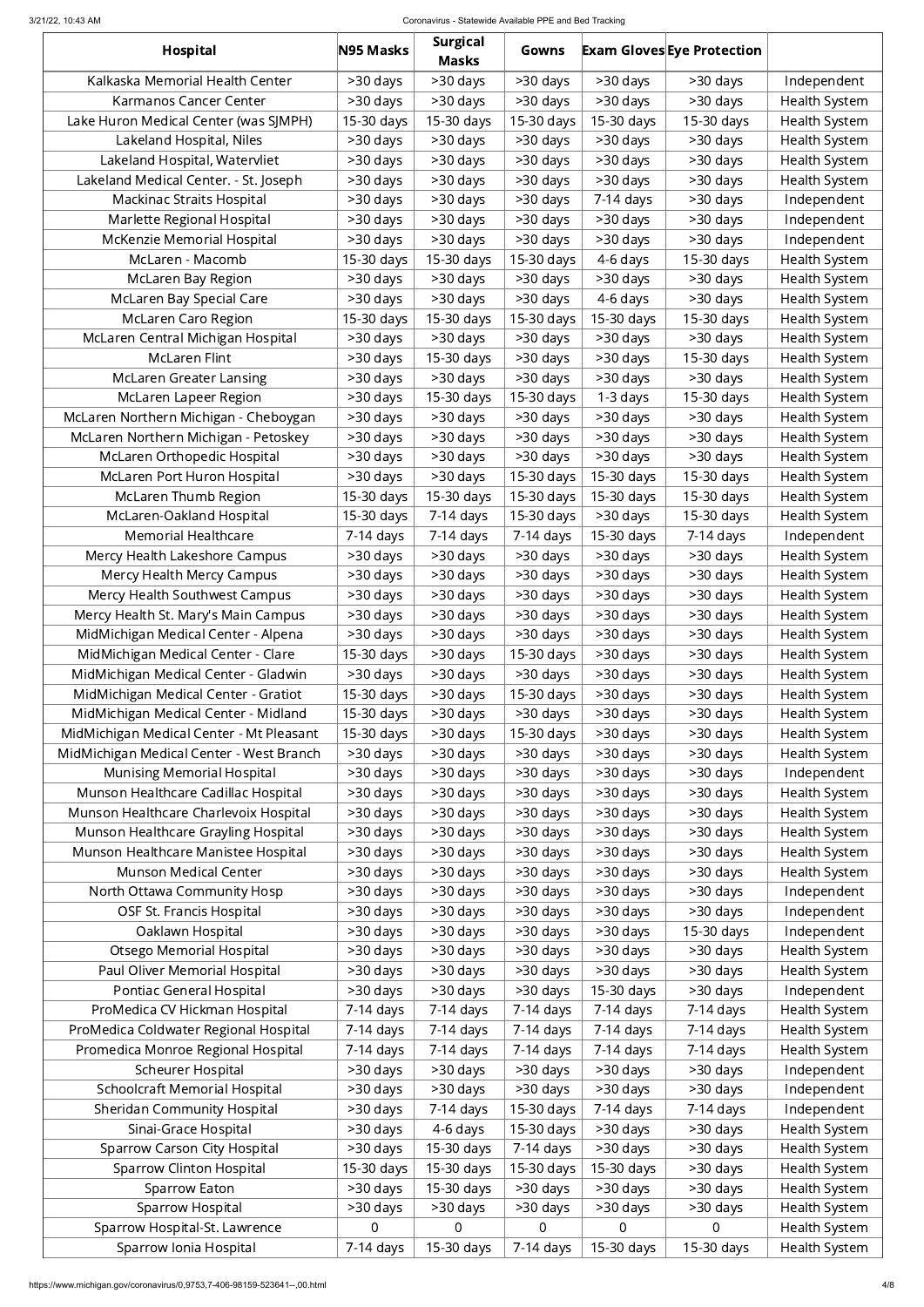#### 3/21/22, 10:43 AM Coronavirus - Statewide Available PPE and Bed Tracking

| Hospital                                                                      | N95 Masks            | <b>Surgical</b><br><b>Masks</b> | Gowns                |                      | <b>Exam Gloves Eye Protection</b> |                              |
|-------------------------------------------------------------------------------|----------------------|---------------------------------|----------------------|----------------------|-----------------------------------|------------------------------|
| Kalkaska Memorial Health Center                                               | >30 days             | >30 days                        | >30 days             | >30 days             | >30 days                          | Independent                  |
| <b>Karmanos Cancer Center</b>                                                 | >30 days             | >30 days                        | $>30$ days           | >30 days             | >30 days                          | Health System                |
| Lake Huron Medical Center (was SJMPH)                                         | 15-30 days           | 15-30 days                      | 15-30 days           | 15-30 days           | 15-30 days                        | Health System                |
| Lakeland Hospital, Niles                                                      | >30 days             | >30 days                        | >30 days             | $>30$ days           | >30 days                          | Health System                |
| Lakeland Hospital, Watervliet                                                 | >30 days             | >30 days                        | $>30$ days           | >30 days             | >30 days                          | Health System                |
| Lakeland Medical Center. - St. Joseph                                         | >30 days             | >30 days                        | >30 days             | >30 days             | >30 days                          | Health System                |
| <b>Mackinac Straits Hospital</b>                                              | >30 days             | >30 days                        | >30 days             | 7-14 days            | >30 days                          | Independent                  |
| Marlette Regional Hospital                                                    | >30 days             | >30 days                        | >30 days             | >30 days             | >30 days                          | Independent                  |
| McKenzie Memorial Hospital                                                    | >30 days             | >30 days                        | >30 days             | >30 days             | >30 days                          | Independent                  |
| McLaren - Macomb                                                              | 15-30 days           | 15-30 days                      | 15-30 days           | 4-6 days             | 15-30 days                        | Health System                |
| McLaren Bay Region                                                            | >30 days             | >30 days                        | >30 days             | >30 days             | >30 days                          | Health System                |
| McLaren Bay Special Care                                                      | >30 days             | >30 days                        | >30 days             | 4-6 days             | >30 days                          | Health System                |
| McLaren Caro Region                                                           | 15-30 days           | 15-30 days                      | 15-30 days           | 15-30 days           | 15-30 days                        | Health System                |
| McLaren Central Michigan Hospital                                             | >30 days             | >30 days                        | >30 days             | >30 days             | >30 days                          | Health System                |
| <b>McLaren Flint</b>                                                          | >30 days             | 15-30 days                      | >30 days             | >30 days             | 15-30 days                        | Health System                |
| <b>McLaren Greater Lansing</b>                                                | >30 days             | >30 days                        | >30 days             | >30 days             | >30 days                          | Health System                |
| McLaren Lapeer Region                                                         | >30 days             | 15-30 days                      | 15-30 days           | $1-3$ days           | 15-30 days                        | Health System                |
| McLaren Northern Michigan - Cheboygan                                         | >30 days             | >30 days                        | >30 days             | >30 days             | >30 days                          | Health System                |
| McLaren Northern Michigan - Petoskey                                          | >30 days             | >30 days                        | >30 days             | >30 days             | >30 days                          | Health System                |
| McLaren Orthopedic Hospital                                                   | >30 days             | >30 days                        | >30 days             | >30 days             | >30 days                          | Health System                |
| McLaren Port Huron Hospital                                                   | >30 days             | >30 days                        | 15-30 days           | 15-30 days           | 15-30 days                        | Health System                |
| McLaren Thumb Region                                                          | 15-30 days           | 15-30 days                      | 15-30 days           | 15-30 days           | 15-30 days                        | Health System                |
| McLaren-Oakland Hospital                                                      | 15-30 days           | 7-14 days                       | 15-30 days           | >30 days             | 15-30 days                        | Health System                |
| Memorial Healthcare                                                           | 7-14 days            | 7-14 days                       | 7-14 days            | 15-30 days           | 7-14 days                         | Independent                  |
| Mercy Health Lakeshore Campus                                                 | >30 days             | >30 days                        | >30 days             | >30 days             | >30 days                          | Health System                |
| Mercy Health Mercy Campus                                                     | >30 days             | >30 days                        | >30 days             | >30 days             | >30 days                          | Health System                |
| Mercy Health Southwest Campus                                                 | >30 days             | >30 days                        | $>30$ days           | >30 days             | >30 days                          | Health System                |
| Mercy Health St. Mary's Main Campus                                           | >30 days             | >30 days                        | $>30$ days           | >30 days             | >30 days                          | Health System                |
| MidMichigan Medical Center - Alpena                                           | >30 days             | >30 days                        | >30 days             | >30 days             | >30 days                          | Health System                |
| MidMichigan Medical Center - Clare                                            | 15-30 days           | >30 days                        | 15-30 days           | >30 days             | >30 days                          | Health System                |
| MidMichigan Medical Center - Gladwin                                          | >30 days             | >30 days                        | $>30$ days           | >30 days             | >30 days                          | Health System                |
| MidMichigan Medical Center - Gratiot                                          | 15-30 days           | >30 days                        | 15-30 days           | >30 days             | >30 days                          | Health System                |
| MidMichigan Medical Center - Midland                                          | 15-30 days           | >30 days                        | >30 days             | >30 days             | >30 days                          | Health System                |
| MidMichigan Medical Center - Mt Pleasant                                      | 15-30 days           | >30 days                        | 15-30 days           | >30 days             | >30 days                          | Health System                |
| MidMichigan Medical Center - West Branch<br><b>Munising Memorial Hospital</b> | >30 days<br>>30 days | >30 days<br>>30 days            | >30 days<br>>30 days | >30 days<br>>30 days | >30 days<br>>30 days              | Health System<br>Independent |
| Munson Healthcare Cadillac Hospital                                           | >30 days             | >30 days                        | >30 days             | >30 days             | >30 days                          | Health System                |
| Munson Healthcare Charlevoix Hospital                                         | >30 days             | >30 days                        | >30 days             | >30 days             | >30 days                          | Health System                |
| Munson Healthcare Grayling Hospital                                           | >30 days             | >30 days                        | >30 days             | >30 days             | >30 days                          | Health System                |
| Munson Healthcare Manistee Hospital                                           | >30 days             | >30 days                        | >30 days             | >30 days             | >30 days                          | Health System                |
| <b>Munson Medical Center</b>                                                  | >30 days             | >30 days                        | >30 days             | >30 days             | >30 days                          | Health System                |
| North Ottawa Community Hosp                                                   | >30 days             | >30 days                        | >30 days             | >30 days             | >30 days                          | Independent                  |
| OSF St. Francis Hospital                                                      | >30 days             | >30 days                        | >30 days             | $>30$ days           | >30 days                          | Independent                  |
| Oaklawn Hospital                                                              | >30 days             | >30 days                        | >30 days             | >30 days             | 15-30 days                        | Independent                  |
| <b>Otsego Memorial Hospital</b>                                               | >30 days             | >30 days                        | >30 days             | >30 days             | >30 days                          | Health System                |
| Paul Oliver Memorial Hospital                                                 | >30 days             | >30 days                        | >30 days             | >30 days             | >30 days                          | Health System                |
| Pontiac General Hospital                                                      | >30 days             | >30 days                        | >30 days             | 15-30 days           | >30 days                          | Independent                  |
| ProMedica CV Hickman Hospital                                                 | 7-14 days            | 7-14 days                       | 7-14 days            | 7-14 days            | 7-14 days                         | Health System                |
| ProMedica Coldwater Regional Hospital                                         | 7-14 days            | 7-14 days                       | 7-14 days            | $7-14$ days          | 7-14 days                         | Health System                |
| Promedica Monroe Regional Hospital                                            | 7-14 days            | 7-14 days                       | 7-14 days            | $7-14$ days          | 7-14 days                         | Health System                |
| <b>Scheurer Hospital</b>                                                      | >30 days             | >30 days                        | >30 days             | >30 days             | >30 days                          | Independent                  |
| <b>Schoolcraft Memorial Hospital</b>                                          | >30 days             | >30 days                        | >30 days             | >30 days             | >30 days                          | Independent                  |
| <b>Sheridan Community Hospital</b>                                            | >30 days             | $7-14$ days                     | 15-30 days           | 7-14 days            | 7-14 days                         | Independent                  |
| Sinai-Grace Hospital                                                          | >30 days             | 4-6 days                        | 15-30 days           | >30 days             | >30 days                          | Health System                |
| <b>Sparrow Carson City Hospital</b>                                           | >30 days             | 15-30 days                      | 7-14 days            | >30 days             | >30 days                          | Health System                |
| <b>Sparrow Clinton Hospital</b>                                               | 15-30 days           | 15-30 days                      | 15-30 days           | 15-30 days           | >30 days                          | Health System                |
| Sparrow Eaton                                                                 | >30 days             | 15-30 days                      | >30 days             | >30 days             | >30 days                          | Health System                |
| Sparrow Hospital                                                              | >30 days             | >30 days                        | >30 days             | >30 days             | >30 days                          | Health System                |
| Sparrow Hospital-St. Lawrence                                                 | $\overline{0}$       | $\overline{0}$                  | $\overline{0}$       | 0                    | 0                                 | Health System                |
| Sparrow Ionia Hospital                                                        | 7-14 days            | 15-30 days                      | 7-14 days            | 15-30 days           | 15-30 days                        | Health System                |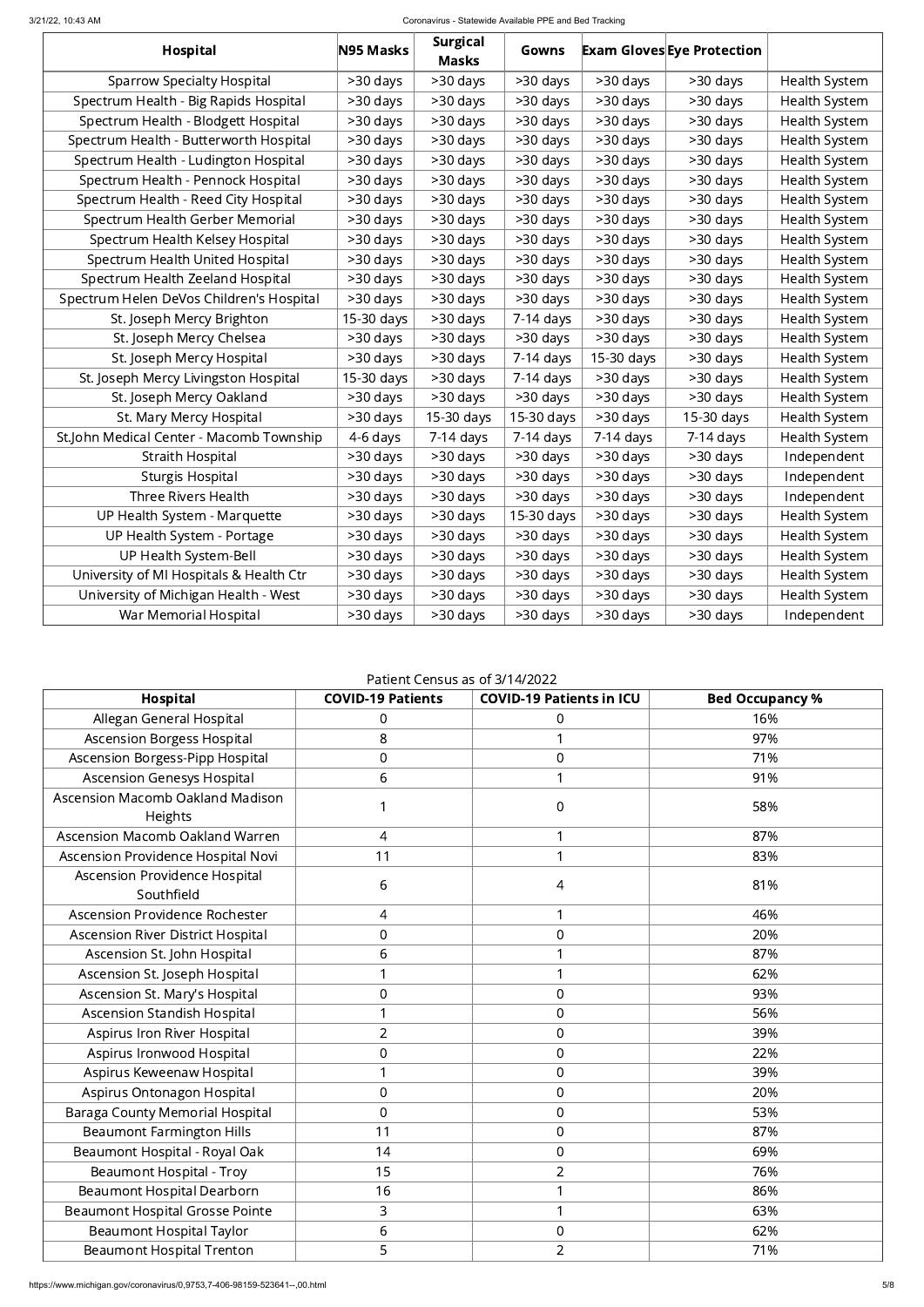#### 3/21/22, 10:43 AM Coronavirus - Statewide Available PPE and Bed Tracking

| <b>Hospital</b>                          | N95 Masks  | <b>Surgical</b><br><b>Masks</b> | Gowns       |             | <b>Exam Gloves Eye Protection</b> |                      |
|------------------------------------------|------------|---------------------------------|-------------|-------------|-----------------------------------|----------------------|
| <b>Sparrow Specialty Hospital</b>        | >30 days   | >30 days                        | >30 days    | >30 days    | >30 days                          | <b>Health System</b> |
| Spectrum Health - Big Rapids Hospital    | >30 days   | >30 days                        | >30 days    | >30 days    | >30 days                          | <b>Health System</b> |
| Spectrum Health - Blodgett Hospital      | >30 days   | >30 days                        | >30 days    | >30 days    | >30 days                          | <b>Health System</b> |
| Spectrum Health - Butterworth Hospital   | >30 days   | >30 days                        | >30 days    | >30 days    | >30 days                          | <b>Health System</b> |
| Spectrum Health - Ludington Hospital     | >30 days   | >30 days                        | >30 days    | >30 days    | >30 days                          | <b>Health System</b> |
| Spectrum Health - Pennock Hospital       | >30 days   | >30 days                        | >30 days    | >30 days    | >30 days                          | <b>Health System</b> |
| Spectrum Health - Reed City Hospital     | >30 days   | >30 days                        | >30 days    | >30 days    | >30 days                          | <b>Health System</b> |
| Spectrum Health Gerber Memorial          | >30 days   | >30 days                        | >30 days    | >30 days    | >30 days                          | Health System        |
| Spectrum Health Kelsey Hospital          | >30 days   | >30 days                        | >30 days    | >30 days    | >30 days                          | Health System        |
| Spectrum Health United Hospital          | >30 days   | >30 days                        | >30 days    | >30 days    | >30 days                          | Health System        |
| Spectrum Health Zeeland Hospital         | >30 days   | >30 days                        | >30 days    | >30 days    | >30 days                          | Health System        |
| Spectrum Helen DeVos Children's Hospital | >30 days   | >30 days                        | >30 days    | >30 days    | >30 days                          | Health System        |
| St. Joseph Mercy Brighton                | 15-30 days | >30 days                        | $7-14$ days | >30 days    | >30 days                          | Health System        |
| St. Joseph Mercy Chelsea                 | >30 days   | >30 days                        | >30 days    | >30 days    | >30 days                          | Health System        |
| St. Joseph Mercy Hospital                | >30 days   | >30 days                        | 7-14 days   | 15-30 days  | >30 days                          | Health System        |
| St. Joseph Mercy Livingston Hospital     | 15-30 days | >30 days                        | 7-14 days   | >30 days    | >30 days                          | Health System        |
| St. Joseph Mercy Oakland                 | >30 days   | >30 days                        | >30 days    | >30 days    | >30 days                          | Health System        |
| St. Mary Mercy Hospital                  | >30 days   | 15-30 days                      | 15-30 days  | >30 days    | 15-30 days                        | Health System        |
| St.John Medical Center - Macomb Township | 4-6 days   | 7-14 days                       | 7-14 days   | $7-14$ days | $7-14$ days                       | Health System        |
| <b>Straith Hospital</b>                  | >30 days   | >30 days                        | >30 days    | >30 days    | >30 days                          | Independent          |
| <b>Sturgis Hospital</b>                  | >30 days   | >30 days                        | >30 days    | >30 days    | >30 days                          | Independent          |
| <b>Three Rivers Health</b>               | >30 days   | >30 days                        | >30 days    | >30 days    | >30 days                          | Independent          |
| UP Health System - Marquette             | >30 days   | >30 days                        | 15-30 days  | >30 days    | >30 days                          | <b>Health System</b> |
| UP Health System - Portage               | >30 days   | >30 days                        | >30 days    | >30 days    | >30 days                          | Health System        |
| UP Health System-Bell                    | >30 days   | >30 days                        | >30 days    | >30 days    | >30 days                          | Health System        |
| University of MI Hospitals & Health Ctr  | >30 days   | >30 days                        | >30 days    | >30 days    | >30 days                          | Health System        |
| University of Michigan Health - West     | >30 days   | >30 days                        | >30 days    | >30 days    | >30 days                          | <b>Health System</b> |
| War Memorial Hospital                    | >30 days   | >30 days                        | >30 days    | >30 days    | >30 days                          | Independent          |

### Patient Census as of 3/14/2022

| Hospital                                    | <b>COVID-19 Patients</b> | <b>COVID-19 Patients in ICU</b> | <b>Bed Occupancy %</b> |
|---------------------------------------------|--------------------------|---------------------------------|------------------------|
| Allegan General Hospital                    | 0                        | $\overline{0}$                  | 16%                    |
| <b>Ascension Borgess Hospital</b>           | 8                        | 1                               | 97%                    |
| Ascension Borgess-Pipp Hospital             | $\overline{0}$           | $\boldsymbol{0}$                | 71%                    |
| <b>Ascension Genesys Hospital</b>           | 6                        | 1                               | 91%                    |
| Ascension Macomb Oakland Madison<br>Heights | 1                        | $\boldsymbol{0}$                | 58%                    |
| Ascension Macomb Oakland Warren             | 4                        | 1                               | 87%                    |
| Ascension Providence Hospital Novi          | 11                       | $\mathbf 1$                     | 83%                    |
| Ascension Providence Hospital<br>Southfield | 6                        | 4                               | 81%                    |
| Ascension Providence Rochester              | 4                        | 1                               | 46%                    |
| <b>Ascension River District Hospital</b>    | $\overline{0}$           | $\boldsymbol{0}$                | 20%                    |
| Ascension St. John Hospital                 | 6                        | 1                               | 87%                    |
| Ascension St. Joseph Hospital               | 1                        | 1                               | 62%                    |
| Ascension St. Mary's Hospital               | $\boldsymbol{0}$         | $\boldsymbol{0}$                | 93%                    |
| Ascension Standish Hospital                 | 1                        | $\overline{0}$                  | 56%                    |
| Aspirus Iron River Hospital                 | $\overline{2}$           | $\boldsymbol{0}$                | 39%                    |
| Aspirus Ironwood Hospital                   | $\overline{0}$           | $\mathbf 0$                     | 22%                    |
| Aspirus Keweenaw Hospital                   | 1                        | $\boldsymbol{0}$                | 39%                    |
| Aspirus Ontonagon Hospital                  | $\mathbf 0$              | $\boldsymbol{0}$                | 20%                    |
| <b>Baraga County Memorial Hospital</b>      | $\overline{0}$           | $\boldsymbol{0}$                | 53%                    |
| <b>Beaumont Farmington Hills</b>            | 11                       | $\boldsymbol{0}$                | 87%                    |
| Beaumont Hospital - Royal Oak               | 14                       | $\overline{0}$                  | 69%                    |
| <b>Beaumont Hospital - Troy</b>             | 15                       | $\overline{2}$                  | 76%                    |
| <b>Beaumont Hospital Dearborn</b>           | 16                       | 1                               | 86%                    |
| <b>Beaumont Hospital Grosse Pointe</b>      | 3                        | 1                               | 63%                    |
| <b>Beaumont Hospital Taylor</b>             | 6                        | $\boldsymbol{0}$                | 62%                    |
| <b>Beaumont Hospital Trenton</b>            | 5                        | $\overline{2}$                  | 71%                    |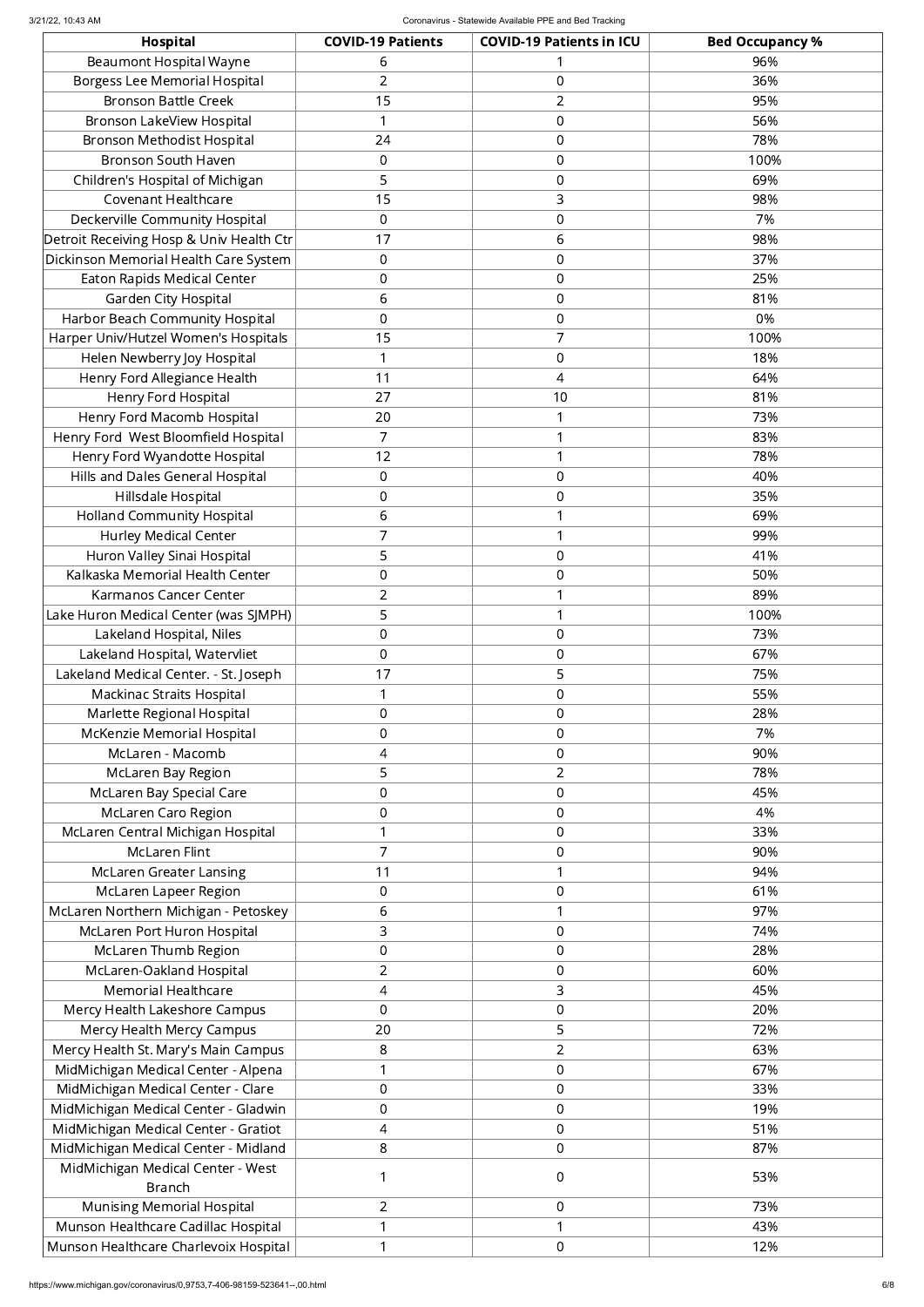| <b>Hospital</b>                          | <b>COVID-19 Patients</b> | <b>COVID-19 Patients in ICU</b> | <b>Bed Occupancy %</b> |
|------------------------------------------|--------------------------|---------------------------------|------------------------|
| <b>Beaumont Hospital Wayne</b>           | 6                        |                                 | 96%                    |
| <b>Borgess Lee Memorial Hospital</b>     | $\overline{2}$           | 0                               | 36%                    |
| <b>Bronson Battle Creek</b>              | 15                       | $\overline{2}$                  | 95%                    |
| <b>Bronson LakeView Hospital</b>         |                          | 0                               | 56%                    |
| Bronson Methodist Hospital               | 24                       | 0                               | 78%                    |
| <b>Bronson South Haven</b>               | $\mathbf 0$              | 0                               | 100%                   |
| Children's Hospital of Michigan          | 5                        | 0                               | 69%                    |
| <b>Covenant Healthcare</b>               | 15                       | 3                               | 98%                    |
| Deckerville Community Hospital           | $\mathbf 0$              | 0                               | 7%                     |
| Detroit Receiving Hosp & Univ Health Ctr | 17                       | 6                               | 98%                    |
| Dickinson Memorial Health Care System    | $\mathbf 0$              | 0                               | 37%                    |
| <b>Eaton Rapids Medical Center</b>       | $\mathbf 0$              | 0                               | 25%                    |
| Garden City Hospital                     | 6                        | 0                               | 81%                    |
| Harbor Beach Community Hospital          | $\mathbf 0$              | 0                               | 0%                     |
| Harper Univ/Hutzel Women's Hospitals     | 15                       | $\overline{7}$                  | 100%                   |
| Helen Newberry Joy Hospital              | -1                       | 0                               | 18%                    |
| Henry Ford Allegiance Health             | 11                       | 4                               | 64%                    |
| Henry Ford Hospital                      | 27                       | 10                              | 81%                    |
| Henry Ford Macomb Hospital               | 20                       | $\mathbf{1}$                    | 73%                    |
| Henry Ford West Bloomfield Hospital      | $\overline{7}$           | $\mathbf{1}$                    | 83%                    |
| Henry Ford Wyandotte Hospital            | 12                       | $\mathbf{1}$                    | 78%                    |
| Hills and Dales General Hospital         | $\mathbf 0$              | 0                               | 40%                    |
| Hillsdale Hospital                       | $\mathbf 0$              | 0                               | 35%                    |
| <b>Holland Community Hospital</b>        | 6                        | $\mathbf{1}$                    | 69%                    |
| <b>Hurley Medical Center</b>             | $\overline{7}$           |                                 | 99%                    |
| Huron Valley Sinai Hospital              | 5                        | 0                               | 41%                    |
| Kalkaska Memorial Health Center          | $\mathbf 0$              | 0                               | 50%                    |
| Karmanos Cancer Center                   | $\overline{2}$           | $\mathbf 1$                     | 89%                    |
| Lake Huron Medical Center (was SJMPH)    | 5                        | $\mathbf{1}$                    | 100%                   |
| Lakeland Hospital, Niles                 | $\mathbf 0$              | 0                               | 73%                    |
| Lakeland Hospital, Watervliet            | $\mathbf 0$              | 0                               | 67%                    |
| Lakeland Medical Center. - St. Joseph    | 17                       | 5                               | 75%                    |
| <b>Mackinac Straits Hospital</b>         |                          | 0                               | 55%                    |
| Marlette Regional Hospital               | $\mathbf 0$              | 0                               | 28%                    |
| McKenzie Memorial Hospital               | $\mathbf 0$              | 0                               | 7%                     |
| McLaren - Macomb                         | 4                        | 0                               | 90%                    |
| McLaren Bay Region                       | 5                        | $\overline{2}$                  | 78%                    |
| McLaren Bay Special Care                 | $\boldsymbol{0}$         | 0                               | 45%                    |
| <b>McLaren Caro Region</b>               | $\boldsymbol{0}$         | $\boldsymbol{0}$                | 4%                     |
| McLaren Central Michigan Hospital        |                          | 0                               | 33%                    |
| <b>McLaren Flint</b>                     | $\overline{7}$           | 0                               | 90%                    |
| <b>McLaren Greater Lansing</b>           | 11                       | $\mathbf{1}$                    | 94%                    |
| McLaren Lapeer Region                    | $\mathbf 0$              | 0                               | 61%                    |
| McLaren Northern Michigan - Petoskey     | 6                        | $\mathbf{1}$                    | 97%                    |
| McLaren Port Huron Hospital              | 3                        | 0                               | 74%                    |
| <b>McLaren Thumb Region</b>              | $\mathbf 0$              | 0                               | 28%                    |
| McLaren-Oakland Hospital                 | $\overline{2}$           | 0                               | 60%                    |
| <b>Memorial Healthcare</b>               | 4                        | 3                               | 45%                    |
| Mercy Health Lakeshore Campus            | $\mathbf 0$              | 0                               | 20%                    |
| Mercy Health Mercy Campus                | 20                       | 5                               | 72%                    |
| Mercy Health St. Mary's Main Campus      | 8                        | $\overline{2}$                  | 63%                    |
| MidMichigan Medical Center - Alpena      |                          | 0                               | 67%                    |
| MidMichigan Medical Center - Clare       | $\mathbf 0$              | 0                               | 33%                    |
| MidMichigan Medical Center - Gladwin     | $\mathbf 0$              | 0                               | 19%                    |
| MidMichigan Medical Center - Gratiot     | 4                        | 0                               | 51%                    |
| MidMichigan Medical Center - Midland     | 8                        | 0                               | 87%                    |
| MidMichigan Medical Center - West        |                          | 0                               | 53%                    |
| <b>Branch</b>                            |                          |                                 |                        |
| <b>Munising Memorial Hospital</b>        | $\overline{2}$           | 0                               | 73%                    |
| Munson Healthcare Cadillac Hospital      |                          | $\mathbf{1}$                    | 43%                    |
| Munson Healthcare Charlevoix Hospital    |                          | 0                               | 12%                    |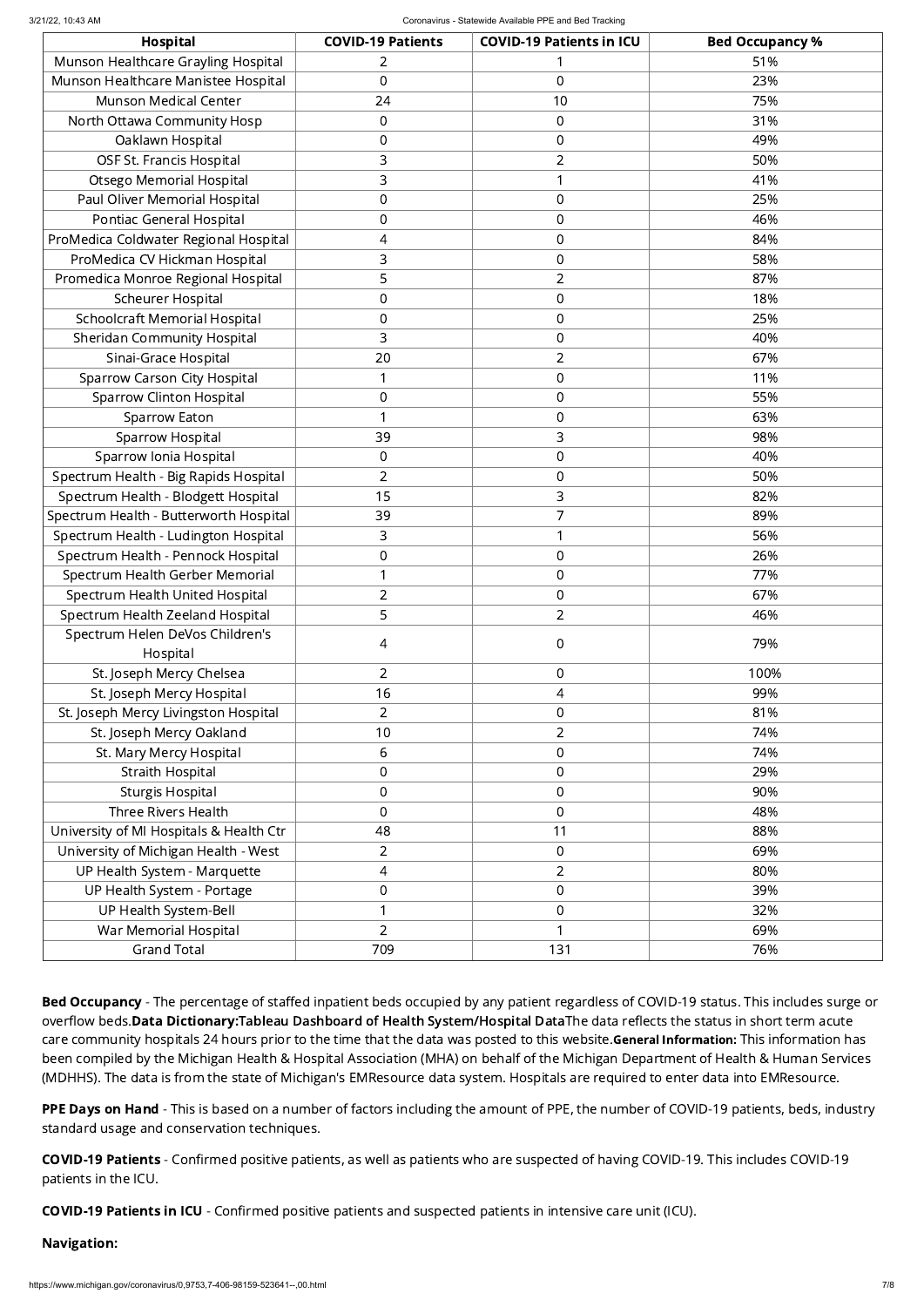| Hospital                                | <b>COVID-19 Patients</b> | <b>COVID-19 Patients in ICU</b> | <b>Bed Occupancy %</b> |
|-----------------------------------------|--------------------------|---------------------------------|------------------------|
| Munson Healthcare Grayling Hospital     | 2                        |                                 | 51%                    |
| Munson Healthcare Manistee Hospital     | 0                        | 0                               | 23%                    |
| <b>Munson Medical Center</b>            | 24                       | 10                              | 75%                    |
| North Ottawa Community Hosp             | 0                        | 0                               | 31%                    |
| Oaklawn Hospital                        | $\mathbf 0$              | 0                               | 49%                    |
| OSF St. Francis Hospital                | 3                        | $\overline{2}$                  | 50%                    |
| <b>Otsego Memorial Hospital</b>         | 3                        | 1                               | 41%                    |
| Paul Oliver Memorial Hospital           | $\boldsymbol{0}$         | $\boldsymbol{0}$                | 25%                    |
| Pontiac General Hospital                | $\mathbf 0$              | 0                               | 46%                    |
| ProMedica Coldwater Regional Hospital   | 4                        | 0                               | 84%                    |
| ProMedica CV Hickman Hospital           | 3                        | 0                               | 58%                    |
| Promedica Monroe Regional Hospital      | 5                        | $\overline{2}$                  | 87%                    |
| <b>Scheurer Hospital</b>                | $\mathbf 0$              | 0                               | 18%                    |
| <b>Schoolcraft Memorial Hospital</b>    | $\mathbf 0$              | 0                               | 25%                    |
| <b>Sheridan Community Hospital</b>      | 3                        | 0                               | 40%                    |
| Sinai-Grace Hospital                    | 20                       | $\overline{2}$                  | 67%                    |
| <b>Sparrow Carson City Hospital</b>     | 1                        | 0                               | 11%                    |
| <b>Sparrow Clinton Hospital</b>         | $\mathbf 0$              | 0                               | 55%                    |
| <b>Sparrow Eaton</b>                    |                          | 0                               | 63%                    |
| <b>Sparrow Hospital</b>                 | 39                       | 3                               | 98%                    |
| Sparrow Ionia Hospital                  | $\mathbf 0$              | 0                               | 40%                    |
| Spectrum Health - Big Rapids Hospital   | $\overline{2}$           | 0                               | 50%                    |
| Spectrum Health - Blodgett Hospital     | 15                       | 3                               | 82%                    |
| Spectrum Health - Butterworth Hospital  | 39                       | 7                               | 89%                    |
| Spectrum Health - Ludington Hospital    | 3                        | 1                               | 56%                    |
| Spectrum Health - Pennock Hospital      | $\mathbf 0$              | 0                               | 26%                    |
| Spectrum Health Gerber Memorial         | 1                        | 0                               | 77%                    |
| Spectrum Health United Hospital         | $\overline{2}$           | 0                               | 67%                    |
| Spectrum Health Zeeland Hospital        | 5                        | $\overline{2}$                  | 46%                    |
| Spectrum Helen DeVos Children's         | 4                        | $\boldsymbol{0}$                | 79%                    |
| Hospital                                |                          |                                 |                        |
| St. Joseph Mercy Chelsea                | $\overline{2}$           | 0                               | 100%                   |
| St. Joseph Mercy Hospital               | 16                       | 4                               | 99%                    |
| St. Joseph Mercy Livingston Hospital    | $\overline{2}$           | $\boldsymbol{0}$                | 81%                    |
| St. Joseph Mercy Oakland                | 10                       | $\overline{2}$                  | 74%                    |
| St. Mary Mercy Hospital                 | 6                        | $\boldsymbol{0}$                | 74%                    |
| <b>Straith Hospital</b>                 | $\mathbf 0$              | 0                               | 29%                    |
| <b>Sturgis Hospital</b>                 | $\mathbf 0$              | $\mathbf 0$                     | 90%                    |
| <b>Three Rivers Health</b>              | $\overline{0}$           | $\mathbf 0$                     | 48%                    |
| University of MI Hospitals & Health Ctr | 48                       | 11                              | 88%                    |
| University of Michigan Health - West    | $\overline{2}$           | 0                               | 69%                    |
| UP Health System - Marquette            | 4                        | $\overline{2}$                  | 80%                    |
| UP Health System - Portage              | $\boldsymbol{0}$         | $\boldsymbol{0}$                | 39%                    |
| UP Health System-Bell                   | $\mathbf 1$              | $\boldsymbol{0}$                | 32%                    |
| War Memorial Hospital                   | $\overline{2}$           | 1                               | 69%                    |
| <b>Grand Total</b>                      | 709                      | 131                             | 76%                    |

Bed Occupancy - The percentage of staffed inpatient beds occupied by any patient regardless of COVID-19 status. This includes surge or overflow beds.Data Dictionary:Tableau Dashboard of Health [System/Hospital](https://public.tableau.com/profile/mhapublic#!/vizhome/COVIDPublicDashboard/PleaseRead) DataThe data reflects the status in short term acute care community hospitals 24 hours prior to the time that the data was posted to this website. General Information: This information has been compiled by the Michigan Health & Hospital Association (MHA) on behalf of the Michigan Department of Health & Human Services (MDHHS). The data is from the state of Michigan's EMResource data system. Hospitals are required to enter data into EMResource.

PPE Days on Hand - This is based on a number of factors including the amount of PPE, the number of COVID-19 patients, beds, industry standard usage and conservation techniques.

COVID-19 Patients - Confirmed positive patients, as well as patients who are suspected of having COVID-19. This includes COVID-19 patients in the ICU.

COVID-19 Patients in ICU - Confirmed positive patients and suspected patients in intensive care unit (ICU).

## Navigation: